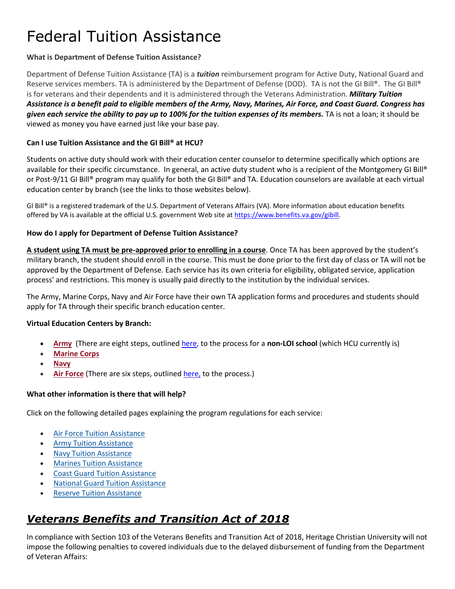# Federal Tuition Assistance

## **What is Department of Defense Tuition Assistance?**

Department of Defense Tuition Assistance (TA) is a *tuition* reimbursement program for Active Duty, National Guard and Reserve services members. TA is administered by the Department of Defense (DOD). TA is not the GI Bill®. The GI Bill® is for veterans and their dependents and it is administered through the Veterans Administration. *Military Tuition Assistance is a benefit paid to eligible members of the Army, Navy, Marines, Air Force, and Coast Guard. Congress has given each service the ability to pay up to 100% for the tuition expenses of its members.* TA is not a loan; it should be viewed as money you have earned just like your base pay.

## **Can I use Tuition Assistance and the GI Bill® at HCU?**

Students on active duty should work with their education center counselor to determine specifically which options are available for their specific circumstance. In general, an active duty student who is a recipient of the Montgomery GI Bill® or Post-9/11 GI Bill® program may qualify for both the GI Bill® and TA. Education counselors are available at each virtual education center by branch (see the links to those websites below).

GI Bill® is a registered trademark of the U.S. Department of Veterans Affairs (VA). More information about education benefits offered by VA is available at the official U.S. government Web site at [https://www.benefits.va.gov/gibill.](https://www.benefits.va.gov/gibill)

#### **How do I apply for Department of Defense Tuition Assistance?**

**A student using TA must be pre-approved prior to enrolling in a course**. Once TA has been approved by the student's military branch, the student should enroll in the course. This must be done prior to the first day of class or TA will not be approved by the Department of Defense. Each service has its own criteria for eligibility, obligated service, application process' and restrictions. This money is usually paid directly to the institution by the individual services.

The Army, Marine Corps, Navy and Air Force have their own TA application forms and procedures and students should apply for TA through their specific branch education center.

#### **Virtual Education Centers by Branch:**

- **[Army](https://www.goarmyed.com/)** (There are eight steps, outlined [here,](Non-LOI%20School%20Process.pdf) to the process for a **non-LOI school** (which HCU currently is)
- **[Marine Corps](http://www.marines.com/being-a-marine/benefits/education)**
- **[Navy](https://www.navycollege.navy.mil/tuition-assistance/index.htm)**
- [Air Force](https://www.my.af.mil/gcss-af/USAF/ep/home.do) (There are six steps, outline[d here,](Tuition%20Assistance%20USAF%20Instructions.pdf) to the process.)

#### **What other information is there that will help?**

Click on the following detailed pages explaining the program regulations for each service:

- [Air Force Tuition Assistance](https://www.military.com/education/money-for-school/air-force-tuition-assistance.html)
- [Army Tuition Assistance](https://www.military.com/education/money-for-school/army-tuition-assistance.html)
- [Navy Tuition Assistance](https://www.military.com/education/money-for-school/navy-tuition-assistance.html)
- [Marines Tuition Assistance](https://www.military.com/education/money-for-school/marine-corps-tuition-assistance.html)
- [Coast Guard Tuition Assistance](https://www.military.com/education/money-for-school/coast-guard-tuition-assistance.html)
- [National Guard Tuition Assistance](https://www.military.com/education/money-for-school/national-guard-tuition-assistance.html)
- **[Reserve Tuition Assistance](https://www.military.com/education/money-for-school/reserve-tuition-assistance.html)**

# *Veterans Benefits and Transition Act of 2018*

In compliance with Section 103 of the Veterans Benefits and Transition Act of 2018, Heritage Christian University will not impose the following penalties to covered individuals due to the delayed disbursement of funding from the Department of Veteran Affairs: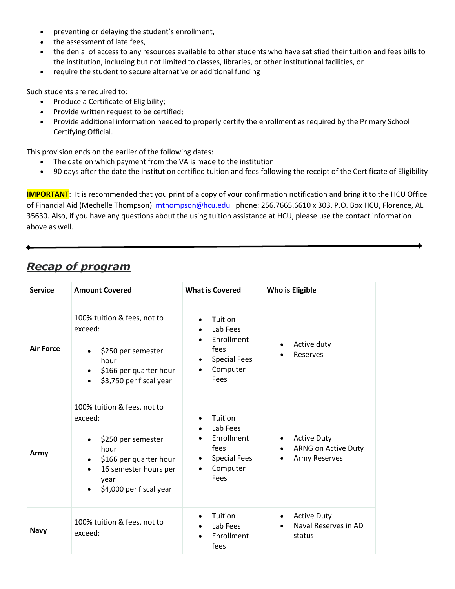- preventing or delaying the student's enrollment,
- the assessment of late fees,
- the denial of access to any resources available to other students who have satisfied their tuition and fees bills to the institution, including but not limited to classes, libraries, or other institutional facilities, or
- require the student to secure alternative or additional funding

Such students are required to:

- Produce a Certificate of Eligibility;
- Provide written request to be certified;
- Provide additional information needed to properly certify the enrollment as required by the Primary School Certifying Official.

This provision ends on the earlier of the following dates:

- The date on which payment from the VA is made to the institution
- 90 days after the date the institution certified tuition and fees following the receipt of the Certificate of Eligibility

**IMPORTANT**: It is recommended that you print of a copy of your confirmation notification and bring it to the HCU Office of Financial Aid (Mechelle Thompson) [mthompson@hcu.edu](mailto: mthompson@hcu.edu) phone: 256.7665.6610 x 303, P.O. Box HCU, Florence, AL 35630. Also, if you have any questions about the using tuition assistance at HCU, please use the contact information above as well.

|  | <b>Recap of program</b> |  |
|--|-------------------------|--|
|  |                         |  |

| <b>Service</b>   | <b>Amount Covered</b>                                                                                                                                                   | <b>What is Covered</b>                                                                                         | Who is Eligible                                                                             |
|------------------|-------------------------------------------------------------------------------------------------------------------------------------------------------------------------|----------------------------------------------------------------------------------------------------------------|---------------------------------------------------------------------------------------------|
| <b>Air Force</b> | 100% tuition & fees, not to<br>exceed:<br>\$250 per semester<br>$\bullet$<br>hour<br>\$166 per quarter hour<br>$\bullet$<br>\$3,750 per fiscal year                     | Tuition<br>$\bullet$<br>Lab Fees<br>Enrollment<br>fees<br><b>Special Fees</b><br>$\bullet$<br>Computer<br>Fees | Active duty<br>Reserves                                                                     |
| Army             | 100% tuition & fees, not to<br>exceed:<br>\$250 per semester<br>hour<br>\$166 per quarter hour<br>$\bullet$<br>16 semester hours per<br>year<br>\$4,000 per fiscal year | Tuition<br>Lab Fees<br>Enrollment<br>fees<br><b>Special Fees</b><br>$\bullet$<br>Computer<br>Fees              | <b>Active Duty</b><br>$\bullet$<br>ARNG on Active Duty<br>$\bullet$<br><b>Army Reserves</b> |
| <b>Navy</b>      | 100% tuition & fees, not to<br>exceed:                                                                                                                                  | Tuition<br>Lab Fees<br>Enrollment<br>fees                                                                      | <b>Active Duty</b><br>$\bullet$<br>Naval Reserves in AD<br>$\bullet$<br>status              |